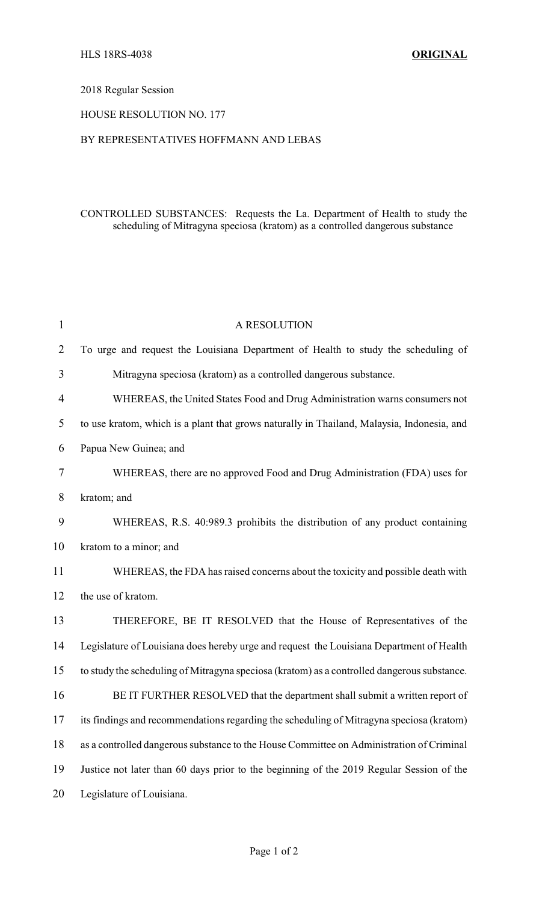# 2018 Regular Session

### HOUSE RESOLUTION NO. 177

#### BY REPRESENTATIVES HOFFMANN AND LEBAS

# CONTROLLED SUBSTANCES: Requests the La. Department of Health to study the scheduling of Mitragyna speciosa (kratom) as a controlled dangerous substance

| $\mathbf{1}$   | A RESOLUTION                                                                                |
|----------------|---------------------------------------------------------------------------------------------|
| $\overline{2}$ | To urge and request the Louisiana Department of Health to study the scheduling of           |
| 3              | Mitragyna speciosa (kratom) as a controlled dangerous substance.                            |
| 4              | WHEREAS, the United States Food and Drug Administration warns consumers not                 |
| 5              | to use kratom, which is a plant that grows naturally in Thailand, Malaysia, Indonesia, and  |
| 6              | Papua New Guinea; and                                                                       |
| 7              | WHEREAS, there are no approved Food and Drug Administration (FDA) uses for                  |
| 8              | kratom; and                                                                                 |
| 9              | WHEREAS, R.S. 40:989.3 prohibits the distribution of any product containing                 |
| 10             | kratom to a minor; and                                                                      |
| 11             | WHEREAS, the FDA has raised concerns about the toxicity and possible death with             |
| 12             | the use of kratom.                                                                          |
| 13             | THEREFORE, BE IT RESOLVED that the House of Representatives of the                          |
| 14             | Legislature of Louisiana does hereby urge and request the Louisiana Department of Health    |
| 15             | to study the scheduling of Mitragyna speciosa (kratom) as a controlled dangerous substance. |
| 16             | BE IT FURTHER RESOLVED that the department shall submit a written report of                 |
| 17             | its findings and recommendations regarding the scheduling of Mitragyna speciosa (kratom)    |
| 18             | as a controlled dangerous substance to the House Committee on Administration of Criminal    |
| 19             | Justice not later than 60 days prior to the beginning of the 2019 Regular Session of the    |
| 20             | Legislature of Louisiana.                                                                   |